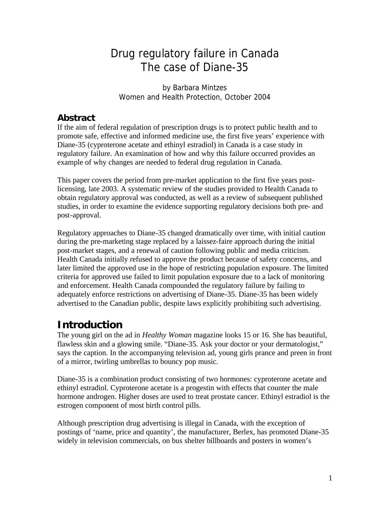# Drug regulatory failure in Canada The case of Diane-35

by Barbara Mintzes Women and Health Protection, October 2004

### **Abstract**

If the aim of federal regulation of prescription drugs is to protect public health and to promote safe, effective and informed medicine use, the first five years' experience with Diane-35 (cyproterone acetate and ethinyl estradiol) in Canada is a case study in regulatory failure. An examination of how and why this failure occurred provides an example of why changes are needed to federal drug regulation in Canada.

This paper covers the period from pre-market application to the first five years postlicensing, late 2003. A systematic review of the studies provided to Health Canada to obtain regulatory approval was conducted, as well as a review of subsequent published studies, in order to examine the evidence supporting regulatory decisions both pre- and post-approval.

Regulatory approaches to Diane-35 changed dramatically over time, with initial caution during the pre-marketing stage replaced by a laissez-faire approach during the initial post-market stages, and a renewal of caution following public and media criticism. Health Canada initially refused to approve the product because of safety concerns, and later limited the approved use in the hope of restricting population exposure. The limited criteria for approved use failed to limit population exposure due to a lack of monitoring and enforcement. Health Canada compounded the regulatory failure by failing to adequately enforce restrictions on advertising of Diane-35. Diane-35 has been widely advertised to the Canadian public, despite laws explicitly prohibiting such advertising.

## **Introduction**

The young girl on the ad in *Healthy Woman* magazine looks 15 or 16. She has beautiful, flawless skin and a glowing smile. "Diane-35. Ask your doctor or your dermatologist," says the caption. In the accompanying television ad, young girls prance and preen in front of a mirror, twirling umbrellas to bouncy pop music.

Diane-35 is a combination product consisting of two hormones: cyproterone acetate and ethinyl estradiol. Cyproterone acetate is a progestin with effects that counter the male hormone androgen. Higher doses are used to treat prostate cancer. Ethinyl estradiol is the estrogen component of most birth control pills.

Although prescription drug advertising is illegal in Canada, with the exception of postings of 'name, price and quantity', the manufacturer, Berlex, has promoted Diane-35 widely in television commercials, on bus shelter billboards and posters in women's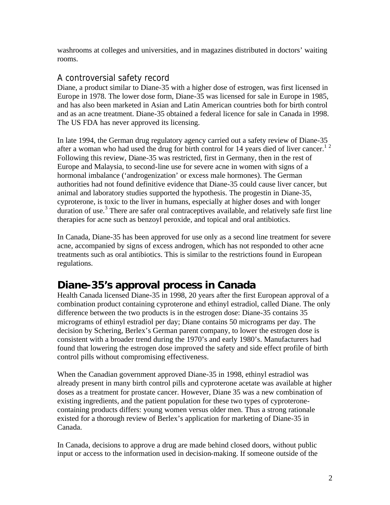washrooms at colleges and universities, and in magazines distributed in doctors' waiting rooms.

## A controversial safety record

Diane, a product similar to Diane-35 with a higher dose of estrogen, was first licensed in Europe in 1978. The lower dose form, Diane-35 was licensed for sale in Europe in 1985, and has also been marketed in Asian and Latin American countries both for birth control and as an acne treatment. Diane-35 obtained a federal licence for sale in Canada in 1998. The US FDA has never approved its licensing.

In late 1994, the German drug regulatory agency carried out a safety review of Diane-35 after a woman who had used the drug for birth control for 14 years died of liver cancer.<sup>12</sup> Following this review, Diane-35 was restricted, first in Germany, then in the rest of Europe and Malaysia, to second-line use for severe acne in women with signs of a hormonal imbalance ('androgenization' or excess male hormones). The German authorities had not found definitive evidence that Diane-35 could cause liver cancer, but animal and laboratory studies supported the hypothesis. The progestin in Diane-35, cyproterone, is toxic to the liver in humans, especially at higher doses and with longer duration of use.<sup>3</sup> There are safer oral contraceptives available, and relatively safe first line therapies for acne such as benzoyl peroxide, and topical and oral antibiotics.

In Canada, Diane-35 has been approved for use only as a second line treatment for severe acne, accompanied by signs of excess androgen, which has not responded to other acne treatments such as oral antibiotics. This is similar to the restrictions found in European regulations.

# **Diane-35's approval process in Canada**

Health Canada licensed Diane-35 in 1998, 20 years after the first European approval of a combination product containing cyproterone and ethinyl estradiol, called Diane. The only difference between the two products is in the estrogen dose: Diane-35 contains 35 micrograms of ethinyl estradiol per day; Diane contains 50 micrograms per day. The decision by Schering, Berlex's German parent company, to lower the estrogen dose is consistent with a broader trend during the 1970's and early 1980's. Manufacturers had found that lowering the estrogen dose improved the safety and side effect profile of birth control pills without compromising effectiveness.

When the Canadian government approved Diane-35 in 1998, ethinyl estradiol was already present in many birth control pills and cyproterone acetate was available at higher doses as a treatment for prostate cancer. However, Diane 35 was a new combination of existing ingredients, and the patient population for these two types of cyproteronecontaining products differs: young women versus older men. Thus a strong rationale existed for a thorough review of Berlex's application for marketing of Diane-35 in Canada.

In Canada, decisions to approve a drug are made behind closed doors, without public input or access to the information used in decision-making. If someone outside of the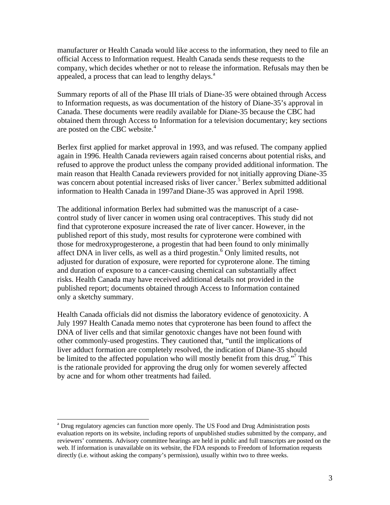manufacturer or Health Canada would like access to the information, they need to file an official Access to Information request. Health Canada sends these requests to the company, which decides whether or not to release the information. Refusals may then be appealed, a process that can lead to lengthy delays.<sup>a</sup>

Summary reports of all of the Phase III trials of Diane-35 were obtained through Access to Information requests, as was documentation of the history of Diane-35's approval in Canada. These documents were readily available for Diane-35 because the CBC had obtained them through Access to Information for a television documentary; key sections are posted on the CBC website.<sup>4</sup>

Berlex first applied for market approval in 1993, and was refused. The company applied again in 1996. Health Canada reviewers again raised concerns about potential risks, and refused to approve the product unless the company provided additional information. The main reason that Health Canada reviewers provided for not initially approving Diane-35 was concern about potential increased risks of liver cancer.<sup>5</sup> Berlex submitted additional information to Health Canada in 1997and Diane-35 was approved in April 1998.

The additional information Berlex had submitted was the manuscript of a casecontrol study of liver cancer in women using oral contraceptives. This study did not find that cyproterone exposure increased the rate of liver cancer. However, in the published report of this study, most results for cyproterone were combined with those for medroxyprogesterone, a progestin that had been found to only minimally affect DNA in liver cells, as well as a third progestin.<sup>6</sup> Only limited results, not adjusted for duration of exposure, were reported for cyproterone alone. The timing and duration of exposure to a cancer-causing chemical can substantially affect risks. Health Canada may have received additional details not provided in the published report; documents obtained through Access to Information contained only a sketchy summary.

Health Canada officials did not dismiss the laboratory evidence of genotoxicity. A July 1997 Health Canada memo notes that cyproterone has been found to affect the DNA of liver cells and that similar genotoxic changes have not been found with other commonly-used progestins. They cautioned that, "until the implications of liver adduct formation are completely resolved, the indication of Diane-35 should be limited to the affected population who will mostly benefit from this drug."<sup>7</sup> This is the rationale provided for approving the drug only for women severely affected by acne and for whom other treatments had failed.

<sup>-</sup><sup>a</sup> Drug regulatory agencies can function more openly. The US Food and Drug Administration posts evaluation reports on its website, including reports of unpublished studies submitted by the company, and reviewers' comments. Advisory committee hearings are held in public and full transcripts are posted on the web. If information is unavailable on its website, the FDA responds to Freedom of Information requests directly (i.e. without asking the company's permission), usually within two to three weeks.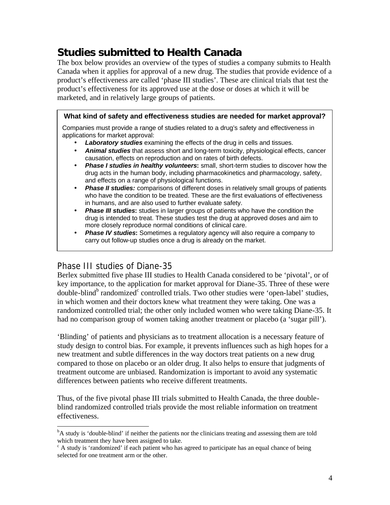# **Studies submitted to Health Canada**

The box below provides an overview of the types of studies a company submits to Health Canada when it applies for approval of a new drug. The studies that provide evidence of a product's effectiveness are called 'phase III studies'. These are clinical trials that test the product's effectiveness for its approved use at the dose or doses at which it will be marketed, and in relatively large groups of patients.

### **What kind of safety and effectiveness studies are needed for market approval?**

Companies must provide a range of studies related to a drug's safety and effectiveness in applications for market approval:

- *Laboratory studies* examining the effects of the drug in cells and tissues.
- *Animal studies* that assess short and long-term toxicity, physiological effects, cancer causation, effects on reproduction and on rates of birth defects.
- *Phase I studies in healthy volunteers***:** small, short-term studies to discover how the drug acts in the human body, including pharmacokinetics and pharmacology, safety, and effects on a range of physiological functions.
- *Phase II studies:* comparisons of different doses in relatively small groups of patients who have the condition to be treated. These are the first evaluations of effectiveness in humans, and are also used to further evaluate safety.
- *Phase III studies***:** studies in larger groups of patients who have the condition the drug is intended to treat. These studies test the drug at approved doses and aim to more closely reproduce normal conditions of clinical care.
- *Phase IV studies***:** Sometimes a regulatory agency will also require a company to carry out follow-up studies once a drug is already on the market.

### Phase III studies of Diane-35

-

Berlex submitted five phase III studies to Health Canada considered to be 'pivotal', or of key importance, to the application for market approval for Diane-35. Three of these were double-blind<sup>b</sup> randomized<sup>c</sup> controlled trials. Two other studies were 'open-label' studies, in which women and their doctors knew what treatment they were taking. One was a randomized controlled trial; the other only included women who were taking Diane-35. It had no comparison group of women taking another treatment or placebo (a 'sugar pill').

'Blinding' of patients and physicians as to treatment allocation is a necessary feature of study design to control bias. For example, it prevents influences such as high hopes for a new treatment and subtle differences in the way doctors treat patients on a new drug compared to those on placebo or an older drug. It also helps to ensure that judgments of treatment outcome are unbiased. Randomization is important to avoid any systematic differences between patients who receive different treatments.

Thus, of the five pivotal phase III trials submitted to Health Canada, the three doubleblind randomized controlled trials provide the most reliable information on treatment effectiveness.

<sup>&</sup>lt;sup>b</sup>A study is 'double-blind' if neither the patients nor the clinicians treating and assessing them are told which treatment they have been assigned to take.

<sup>&</sup>lt;sup>c</sup> A study is 'randomized' if each patient who has agreed to participate has an equal chance of being selected for one treatment arm or the other.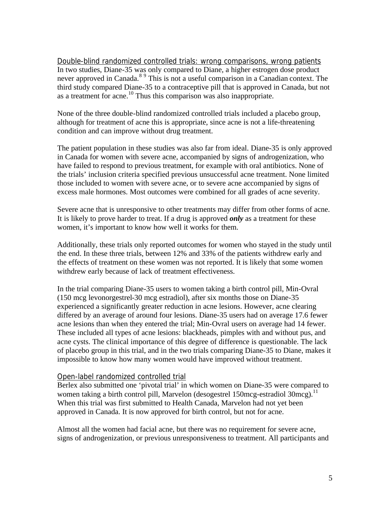Double-blind randomized controlled trials: wrong comparisons, wrong patients In two studies, Diane-35 was only compared to Diane, a higher estrogen dose product never approved in Canada.<sup>89</sup> This is not a useful comparison in a Canadian context. The third study compared Diane-35 to a contraceptive pill that is approved in Canada, but not as a treatment for acne.<sup>10</sup> Thus this comparison was also inappropriate.

None of the three double-blind randomized controlled trials included a placebo group, although for treatment of acne this is appropriate, since acne is not a life-threatening condition and can improve without drug treatment.

The patient population in these studies was also far from ideal. Diane-35 is only approved in Canada for women with severe acne, accompanied by signs of androgenization, who have failed to respond to previous treatment, for example with oral antibiotics. None of the trials' inclusion criteria specified previous unsuccessful acne treatment. None limited those included to women with severe acne, or to severe acne accompanied by signs of excess male hormones. Most outcomes were combined for all grades of acne severity.

Severe acne that is unresponsive to other treatments may differ from other forms of acne. It is likely to prove harder to treat. If a drug is approved *only* as a treatment for these women, it's important to know how well it works for them.

Additionally, these trials only reported outcomes for women who stayed in the study until the end. In these three trials, between 12% and 33% of the patients withdrew early and the effects of treatment on these women was not reported. It is likely that some women withdrew early because of lack of treatment effectiveness.

In the trial comparing Diane-35 users to women taking a birth control pill, Min-Ovral (150 mcg levonorgestrel-30 mcg estradiol), after six months those on Diane-35 experienced a significantly greater reduction in acne lesions. However, acne clearing differed by an average of around four lesions. Diane-35 users had on average 17.6 fewer acne lesions than when they entered the trial; Min-Ovral users on average had 14 fewer. These included all types of acne lesions: blackheads, pimples with and without pus, and acne cysts. The clinical importance of this degree of difference is questionable. The lack of placebo group in this trial, and in the two trials comparing Diane-35 to Diane, makes it impossible to know how many women would have improved without treatment.

#### Open-label randomized controlled trial

Berlex also submitted one 'pivotal trial' in which women on Diane-35 were compared to women taking a birth control pill, Marvelon (desogestrel 150mcg-estradiol 30mcg).<sup>11</sup> When this trial was first submitted to Health Canada, Marvelon had not yet been approved in Canada. It is now approved for birth control, but not for acne.

Almost all the women had facial acne, but there was no requirement for severe acne, signs of androgenization, or previous unresponsiveness to treatment. All participants and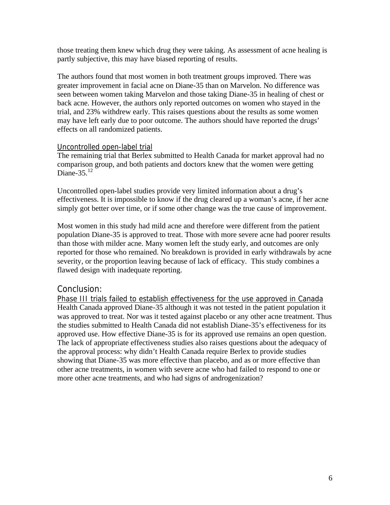those treating them knew which drug they were taking. As assessment of acne healing is partly subjective, this may have biased reporting of results.

The authors found that most women in both treatment groups improved. There was greater improvement in facial acne on Diane-35 than on Marvelon. No difference was seen between women taking Marvelon and those taking Diane-35 in healing of chest or back acne. However, the authors only reported outcomes on women who stayed in the trial, and 23% withdrew early. This raises questions about the results as some women may have left early due to poor outcome. The authors should have reported the drugs' effects on all randomized patients.

#### Uncontrolled open-label trial

The remaining trial that Berlex submitted to Health Canada for market approval had no comparison group, and both patients and doctors knew that the women were getting Diane- $35^{12}$ 

Uncontrolled open-label studies provide very limited information about a drug's effectiveness. It is impossible to know if the drug cleared up a woman's acne, if her acne simply got better over time, or if some other change was the true cause of improvement.

Most women in this study had mild acne and therefore were different from the patient population Diane-35 is approved to treat. Those with more severe acne had poorer results than those with milder acne. Many women left the study early, and outcomes are only reported for those who remained. No breakdown is provided in early withdrawals by acne severity, or the proportion leaving because of lack of efficacy. This study combines a flawed design with inadequate reporting.

### Conclusion:

Phase III trials failed to establish effectiveness for the use approved in Canada Health Canada approved Diane-35 although it was not tested in the patient population it was approved to treat. Nor was it tested against placebo or any other acne treatment. Thus the studies submitted to Health Canada did not establish Diane-35's effectiveness for its approved use. How effective Diane-35 is for its approved use remains an open question. The lack of appropriate effectiveness studies also raises questions about the adequacy of the approval process: why didn't Health Canada require Berlex to provide studies showing that Diane-35 was more effective than placebo, and as or more effective than other acne treatments, in women with severe acne who had failed to respond to one or more other acne treatments, and who had signs of androgenization?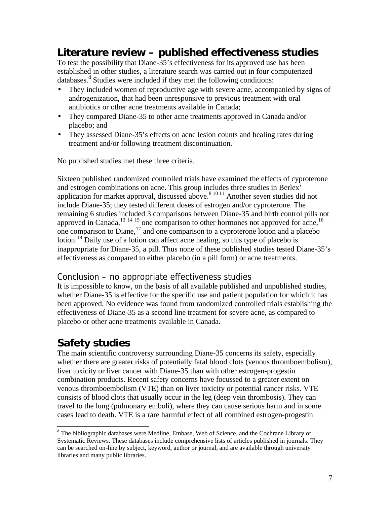# **Literature review – published effectiveness studies**

To test the possibility that Diane-35's effectiveness for its approved use has been established in other studies, a literature search was carried out in four computerized databases.<sup>d</sup> Studies were included if they met the following conditions:

- They included women of reproductive age with severe acne, accompanied by signs of androgenization, that had been unresponsive to previous treatment with oral antibiotics or other acne treatments available in Canada;
- They compared Diane-35 to other acne treatments approved in Canada and/or placebo; and
- They assessed Diane-35's effects on acne lesion counts and healing rates during treatment and/or following treatment discontinuation.

No published studies met these three criteria.

Sixteen published randomized controlled trials have examined the effects of cyproterone and estrogen combinations on acne. This group includes three studies in Berlex' application for market approval, discussed above.<sup>8 10 11</sup> Another seven studies did not include Diane-35; they tested different doses of estrogen and/or cyproterone. The remaining 6 studies included 3 comparisons between Diane-35 and birth control pills not approved in Canada,<sup>13 14 15</sup> one comparison to other hormones not approved for acne,<sup>16</sup> one comparison to Diane,  $\frac{17}{12}$  and one comparison to a cyproterone lotion and a placebo lotion.<sup>18</sup> Daily use of a lotion can affect acne healing, so this type of placebo is inappropriate for Diane-35, a pill. Thus none of these published studies tested Diane-35's effectiveness as compared to either placebo (in a pill form) or acne treatments.

## Conclusion – no appropriate effectiveness studies

It is impossible to know, on the basis of all available published and unpublished studies, whether Diane-35 is effective for the specific use and patient population for which it has been approved. No evidence was found from randomized controlled trials establishing the effectiveness of Diane-35 as a second line treatment for severe acne, as compared to placebo or other acne treatments available in Canada.

# **Safety studies**

The main scientific controversy surrounding Diane-35 concerns its safety, especially whether there are greater risks of potentially fatal blood clots (venous thromboembolism), liver toxicity or liver cancer with Diane-35 than with other estrogen-progestin combination products. Recent safety concerns have focussed to a greater extent on venous thromboembolism (VTE) than on liver toxicity or potential cancer risks. VTE consists of blood clots that usually occur in the leg (deep vein thrombosis). They can travel to the lung (pulmonary emboli), where they can cause serious harm and in some cases lead to death. VTE is a rare harmful effect of all combined estrogen-progestin

The bibliographic databases were Medline, Embase, Web of Science, and the Cochrane Library of Systematic Reviews. These databases include comprehensive lists of articles published in journals. They can be searched on-line by subject, keyword, author or journal, and are available through university libraries and many public libraries.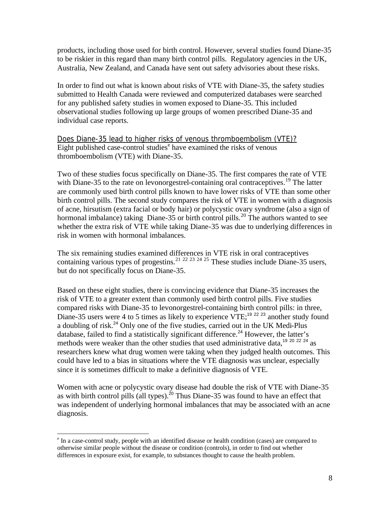products, including those used for birth control. However, several studies found Diane-35 to be riskier in this regard than many birth control pills. Regulatory agencies in the UK, Australia, New Zealand, and Canada have sent out safety advisories about these risks.

In order to find out what is known about risks of VTE with Diane-35, the safety studies submitted to Health Canada were reviewed and computerized databases were searched for any published safety studies in women exposed to Diane-35. This included observational studies following up large groups of women prescribed Diane-35 and individual case reports.

Does Diane-35 lead to higher risks of venous thromboembolism (VTE)? Eight published case-control studies<sup>e</sup> have examined the risks of venous thromboembolism (VTE) with Diane-35.

Two of these studies focus specifically on Diane-35. The first compares the rate of VTE with Diane-35 to the rate on levonorgestrel-containing oral contraceptives.<sup>19</sup> The latter are commonly used birth control pills known to have lower risks of VTE than some other birth control pills. The second study compares the risk of VTE in women with a diagnosis of acne, hirsutism (extra facial or body hair) or polycystic ovary syndrome (also a sign of hormonal imbalance) taking Diane-35 or birth control pills.<sup>20</sup> The authors wanted to see whether the extra risk of VTE while taking Diane-35 was due to underlying differences in risk in women with hormonal imbalances.

The six remaining studies examined differences in VTE risk in oral contraceptives containing various types of progestins.<sup>21 22 23 24 25</sup> These studies include Diane-35 users, but do not specifically focus on Diane-35.

Based on these eight studies, there is convincing evidence that Diane-35 increases the risk of VTE to a greater extent than commonly used birth control pills. Five studies compared risks with Diane-35 to levonorgestrel-containing birth control pills: in three, Diane-35 users were 4 to 5 times as likely to experience VTE;<sup>19 22 23</sup> another study found a doubling of risk.<sup>24</sup> Only one of the five studies, carried out in the UK Medi-Plus database, failed to find a statistically significant difference.<sup>24</sup> However, the latter's methods were weaker than the other studies that used administrative data,<sup>19 20 22 24</sup> as researchers knew what drug women were taking when they judged health outcomes. This could have led to a bias in situations where the VTE diagnosis was unclear, especially since it is sometimes difficult to make a definitive diagnosis of VTE.

Women with acne or polycystic ovary disease had double the risk of VTE with Diane-35 as with birth control pills (all types).<sup>20</sup> Thus Diane-35 was found to have an effect that was independent of underlying hormonal imbalances that may be associated with an acne diagnosis.

-

<sup>&</sup>lt;sup>e</sup> In a case-control study, people with an identified disease or health condition (cases) are compared to otherwise similar people without the disease or condition (controls), in order to find out whether differences in exposure exist, for example, to substances thought to cause the health problem.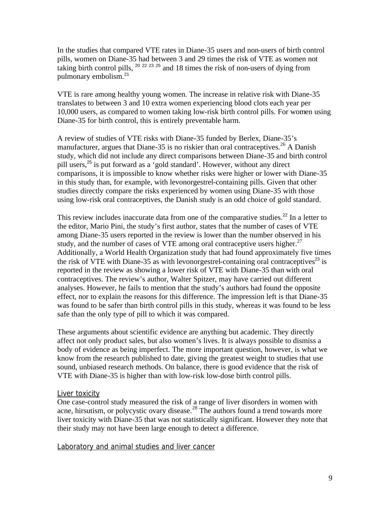In the studies that compared VTE rates in Diane-35 users and non-users of birth control pills, women on Diane-35 had between 3 and 29 times the risk of VTE as women not taking birth control pills,  $20\frac{22\frac{23}{25}}{3}$  and 18 times the risk of non-users of dying from pulmonary embolism.<sup>21</sup>

VTE is rare among healthy young women. The increase in relative risk with Diane-35 translates to between 3 and 10 extra women experiencing blood clots each year per 10,000 users, as compared to women taking low-risk birth control pills. For women using Diane-35 for birth control, this is entirely preventable harm.

A review of studies of VTE risks with Diane-35 funded by Berlex, Diane-35's manufacturer, argues that Diane-35 is no riskier than oral contraceptives.<sup>26</sup> A Danish study, which did not include any direct comparisons between Diane-35 and birth control pill users,<sup>25</sup> is put forward as a 'gold standard'. However, without any direct comparisons, it is impossible to know whether risks were higher or lower with Diane-35 in this study than, for example, with levonorgestrel-containing pills. Given that other studies directly compare the risks experienced by women using Diane-35 with those using low-risk oral contraceptives, the Danish study is an odd choice of gold standard.

This review includes inaccurate data from one of the comparative studies.<sup>22</sup> In a letter to the editor, Mario Pini, the study's first author, states that the number of cases of VTE among Diane-35 users reported in the review is lower than the number observed in his study, and the number of cases of VTE among oral contraceptive users higher.<sup>27</sup> Additionally, a World Health Organization study that had found approximately five times the risk of VTE with Diane-35 as with levonorgestrel-containing oral contraceptives<sup>23</sup> is reported in the review as showing a lower risk of VTE with Diane-35 than with oral contraceptives. The review's author, Walter Spitzer, may have carried out different analyses. However, he fails to mention that the study's authors had found the opposite effect, nor to explain the reasons for this difference. The impression left is that Diane-35 was found to be safer than birth control pills in this study, whereas it was found to be less safe than the only type of pill to which it was compared.

These arguments about scientific evidence are anything but academic. They directly affect not only product sales, but also women's lives. It is always possible to dismiss a body of evidence as being imperfect. The more important question, however, is what we know from the research published to date, giving the greatest weight to studies that use sound, unbiased research methods. On balance, there is good evidence that the risk of VTE with Diane-35 is higher than with low-risk low-dose birth control pills.

#### Liver toxicity

One case-control study measured the risk of a range of liver disorders in women with acne, hirsutism, or polycystic ovary disease.<sup>28</sup> The authors found a trend towards more liver toxicity with Diane-35 that was not statistically significant. However they note that their study may not have been large enough to detect a difference.

Laboratory and animal studies and liver cancer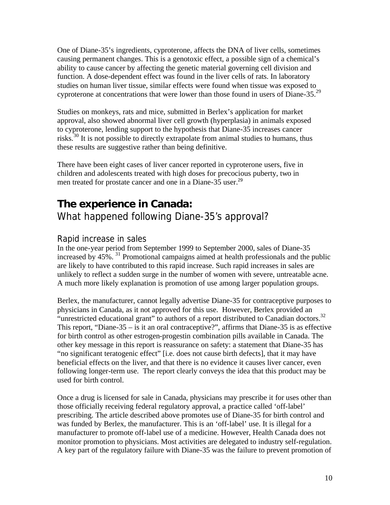One of Diane-35's ingredients, cyproterone, affects the DNA of liver cells, sometimes causing permanent changes. This is a genotoxic effect, a possible sign of a chemical's ability to cause cancer by affecting the genetic material governing cell division and function. A dose-dependent effect was found in the liver cells of rats. In laboratory studies on human liver tissue, similar effects were found when tissue was exposed to cyproterone at concentrations that were lower than those found in users of Diane-35.<sup>29</sup>

Studies on monkeys, rats and mice, submitted in Berlex's application for market approval, also showed abnormal liver cell growth (hyperplasia) in animals exposed to cyproterone, lending support to the hypothesis that Diane-35 increases cancer risks.<sup>30</sup> It is not possible to directly extrapolate from animal studies to humans, thus these results are suggestive rather than being definitive.

There have been eight cases of liver cancer reported in cyproterone users, five in children and adolescents treated with high doses for precocious puberty, two in men treated for prostate cancer and one in a Diane-35 user.<sup>29</sup>

## **The experience in Canada:**

What happened following Diane-35's approval?

### Rapid increase in sales

In the one-year period from September 1999 to September 2000, sales of Diane-35 increased by  $45\%$ .  $31$  Promotional campaigns aimed at health professionals and the public are likely to have contributed to this rapid increase. Such rapid increases in sales are unlikely to reflect a sudden surge in the number of women with severe, untreatable acne. A much more likely explanation is promotion of use among larger population groups.

Berlex, the manufacturer, cannot legally advertise Diane-35 for contraceptive purposes to physicians in Canada, as it not approved for this use. However, Berlex provided an "unrestricted educational grant" to authors of a report distributed to Canadian doctors.<sup>32</sup> This report, "Diane-35 – is it an oral contraceptive?", affirms that Diane-35 is as effective for birth control as other estrogen-progestin combination pills available in Canada. The other key message in this report is reassurance on safety: a statement that Diane-35 has "no significant teratogenic effect" [i.e. does not cause birth defects], that it may have beneficial effects on the liver, and that there is no evidence it causes liver cancer, even following longer-term use. The report clearly conveys the idea that this product may be used for birth control.

Once a drug is licensed for sale in Canada, physicians may prescribe it for uses other than those officially receiving federal regulatory approval, a practice called 'off-label' prescribing. The article described above promotes use of Diane-35 for birth control and was funded by Berlex, the manufacturer. This is an 'off-label' use. It is illegal for a manufacturer to promote off-label use of a medicine. However, Health Canada does not monitor promotion to physicians. Most activities are delegated to industry self-regulation. A key part of the regulatory failure with Diane-35 was the failure to prevent promotion of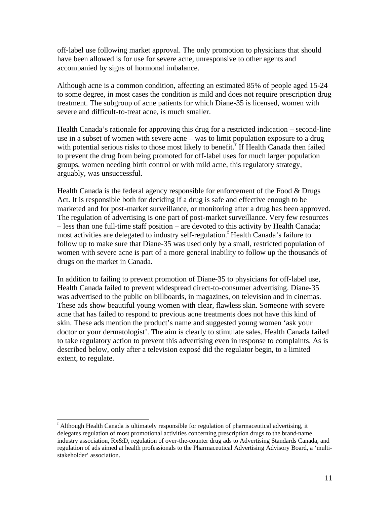off-label use following market approval. The only promotion to physicians that should have been allowed is for use for severe acne, unresponsive to other agents and accompanied by signs of hormonal imbalance.

Although acne is a common condition, affecting an estimated 85% of people aged 15-24 to some degree, in most cases the condition is mild and does not require prescription drug treatment. The subgroup of acne patients for which Diane-35 is licensed, women with severe and difficult-to-treat acne, is much smaller.

Health Canada's rationale for approving this drug for a restricted indication – second-line use in a subset of women with severe acne – was to limit population exposure to a drug with potential serious risks to those most likely to benefit.<sup>7</sup> If Health Canada then failed to prevent the drug from being promoted for off-label uses for much larger population groups, women needing birth control or with mild acne, this regulatory strategy, arguably, was unsuccessful.

Health Canada is the federal agency responsible for enforcement of the Food & Drugs Act. It is responsible both for deciding if a drug is safe and effective enough to be marketed and for post-market surveillance, or monitoring after a drug has been approved. The regulation of advertising is one part of post-market surveillance. Very few resources – less than one full-time staff position – are devoted to this activity by Health Canada; most activities are delegated to industry self-regulation.<sup>f</sup> Health Canada's failure to follow up to make sure that Diane-35 was used only by a small, restricted population of women with severe acne is part of a more general inability to follow up the thousands of drugs on the market in Canada.

In addition to failing to prevent promotion of Diane-35 to physicians for off-label use, Health Canada failed to prevent widespread direct-to-consumer advertising. Diane-35 was advertised to the public on billboards, in magazines, on television and in cinemas. These ads show beautiful young women with clear, flawless skin. Someone with severe acne that has failed to respond to previous acne treatments does not have this kind of skin. These ads mention the product's name and suggested young women 'ask your doctor or your dermatologist'. The aim is clearly to stimulate sales. Health Canada failed to take regulatory action to prevent this advertising even in response to complaints. As is described below, only after a television exposé did the regulator begin, to a limited extent, to regulate.

<sup>-</sup><sup>f</sup> Although Health Canada is ultimately responsible for regulation of pharmaceutical advertising, it delegates regulation of most promotional activities concerning prescription drugs to the brand-name industry association, Rx&D, regulation of over-the-counter drug ads to Advertising Standards Canada, and regulation of ads aimed at health professionals to the Pharmaceutical Advertising Advisory Board, a 'multistakeholder' association.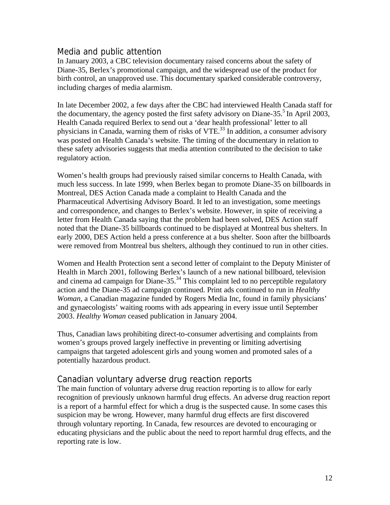### Media and public attention

In January 2003, a CBC television documentary raised concerns about the safety of Diane-35, Berlex's promotional campaign, and the widespread use of the product for birth control, an unapproved use. This documentary sparked considerable controversy, including charges of media alarmism.

In late December 2002, a few days after the CBC had interviewed Health Canada staff for the documentary, the agency posted the first safety advisory on Diane-35.<sup>5</sup> In April 2003, Health Canada required Berlex to send out a 'dear health professional' letter to all physicians in Canada, warning them of risks of  $VTE$ <sup>33</sup>. In addition, a consumer advisory was posted on Health Canada's website. The timing of the documentary in relation to these safety advisories suggests that media attention contributed to the decision to take regulatory action.

Women's health groups had previously raised similar concerns to Health Canada, with much less success. In late 1999, when Berlex began to promote Diane-35 on billboards in Montreal, DES Action Canada made a complaint to Health Canada and the Pharmaceutical Advertising Advisory Board. It led to an investigation, some meetings and correspondence, and changes to Berlex's website. However, in spite of receiving a letter from Health Canada saying that the problem had been solved, DES Action staff noted that the Diane-35 billboards continued to be displayed at Montreal bus shelters. In early 2000, DES Action held a press conference at a bus shelter. Soon after the billboards were removed from Montreal bus shelters, although they continued to run in other cities.

Women and Health Protection sent a second letter of complaint to the Deputy Minister of Health in March 2001, following Berlex's launch of a new national billboard, television and cinema ad campaign for Diane-35.<sup>34</sup> This complaint led to no perceptible regulatory action and the Diane-35 ad campaign continued. Print ads continued to run in *Healthy Woman*, a Canadian magazine funded by Rogers Media Inc, found in family physicians' and gynaecologists' waiting rooms with ads appearing in every issue until September 2003. *Healthy Woman* ceased publication in January 2004.

Thus, Canadian laws prohibiting direct-to-consumer advertising and complaints from women's groups proved largely ineffective in preventing or limiting advertising campaigns that targeted adolescent girls and young women and promoted sales of a potentially hazardous product.

### Canadian voluntary adverse drug reaction reports

The main function of voluntary adverse drug reaction reporting is to allow for early recognition of previously unknown harmful drug effects. An adverse drug reaction report is a report of a harmful effect for which a drug is the suspected cause. In some cases this suspicion may be wrong. However, many harmful drug effects are first discovered through voluntary reporting. In Canada, few resources are devoted to encouraging or educating physicians and the public about the need to report harmful drug effects, and the reporting rate is low.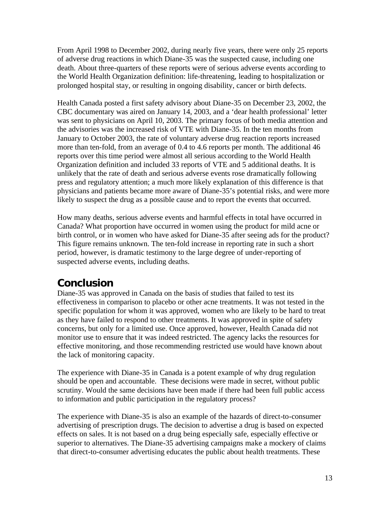From April 1998 to December 2002, during nearly five years, there were only 25 reports of adverse drug reactions in which Diane-35 was the suspected cause, including one death. About three-quarters of these reports were of serious adverse events according to the World Health Organization definition: life-threatening, leading to hospitalization or prolonged hospital stay, or resulting in ongoing disability, cancer or birth defects.

Health Canada posted a first safety advisory about Diane-35 on December 23, 2002, the CBC documentary was aired on January 14, 2003, and a 'dear health professional' letter was sent to physicians on April 10, 2003. The primary focus of both media attention and the advisories was the increased risk of VTE with Diane-35. In the ten months from January to October 2003, the rate of voluntary adverse drug reaction reports increased more than ten-fold, from an average of 0.4 to 4.6 reports per month. The additional 46 reports over this time period were almost all serious according to the World Health Organization definition and included 33 reports of VTE and 5 additional deaths. It is unlikely that the rate of death and serious adverse events rose dramatically following press and regulatory attention; a much more likely explanation of this difference is that physicians and patients became more aware of Diane-35's potential risks, and were more likely to suspect the drug as a possible cause and to report the events that occurred.

How many deaths, serious adverse events and harmful effects in total have occurred in Canada? What proportion have occurred in women using the product for mild acne or birth control, or in women who have asked for Diane-35 after seeing ads for the product? This figure remains unknown. The ten-fold increase in reporting rate in such a short period, however, is dramatic testimony to the large degree of under-reporting of suspected adverse events, including deaths.

## **Conclusion**

Diane-35 was approved in Canada on the basis of studies that failed to test its effectiveness in comparison to placebo or other acne treatments. It was not tested in the specific population for whom it was approved, women who are likely to be hard to treat as they have failed to respond to other treatments. It was approved in spite of safety concerns, but only for a limited use. Once approved, however, Health Canada did not monitor use to ensure that it was indeed restricted. The agency lacks the resources for effective monitoring, and those recommending restricted use would have known about the lack of monitoring capacity.

The experience with Diane-35 in Canada is a potent example of why drug regulation should be open and accountable. These decisions were made in secret, without public scrutiny. Would the same decisions have been made if there had been full public access to information and public participation in the regulatory process?

The experience with Diane-35 is also an example of the hazards of direct-to-consumer advertising of prescription drugs. The decision to advertise a drug is based on expected effects on sales. It is not based on a drug being especially safe, especially effective or superior to alternatives. The Diane-35 advertising campaigns make a mockery of claims that direct-to-consumer advertising educates the public about health treatments. These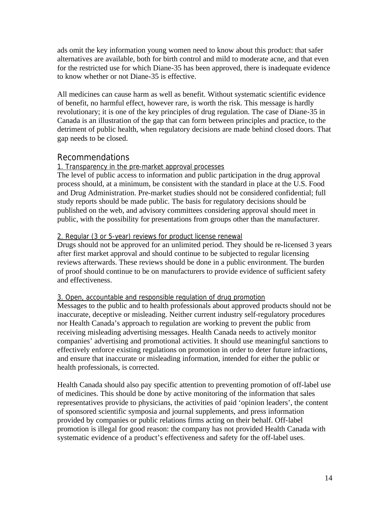ads omit the key information young women need to know about this product: that safer alternatives are available, both for birth control and mild to moderate acne, and that even for the restricted use for which Diane-35 has been approved, there is inadequate evidence to know whether or not Diane-35 is effective.

All medicines can cause harm as well as benefit. Without systematic scientific evidence of benefit, no harmful effect, however rare, is worth the risk. This message is hardly revolutionary; it is one of the key principles of drug regulation. The case of Diane-35 in Canada is an illustration of the gap that can form between principles and practice, to the detriment of public health, when regulatory decisions are made behind closed doors. That gap needs to be closed.

### Recommendations

#### 1. Transparency in the pre-market approval processes

The level of public access to information and public participation in the drug approval process should, at a minimum, be consistent with the standard in place at the U.S. Food and Drug Administration. Pre-market studies should not be considered confidential; full study reports should be made public. The basis for regulatory decisions should be published on the web, and advisory committees considering approval should meet in public, with the possibility for presentations from groups other than the manufacturer.

#### 2. Regular (3 or 5-year) reviews for product license renewal

Drugs should not be approved for an unlimited period. They should be re-licensed 3 years after first market approval and should continue to be subjected to regular licensing reviews afterwards. These reviews should be done in a public environment. The burden of proof should continue to be on manufacturers to provide evidence of sufficient safety and effectiveness.

#### 3. Open, accountable and responsible regulation of drug promotion

Messages to the public and to health professionals about approved products should not be inaccurate, deceptive or misleading. Neither current industry self-regulatory procedures nor Health Canada's approach to regulation are working to prevent the public from receiving misleading advertising messages. Health Canada needs to actively monitor companies' advertising and promotional activities. It should use meaningful sanctions to effectively enforce existing regulations on promotion in order to deter future infractions, and ensure that inaccurate or misleading information, intended for either the public or health professionals, is corrected.

Health Canada should also pay specific attention to preventing promotion of off-label use of medicines. This should be done by active monitoring of the information that sales representatives provide to physicians, the activities of paid 'opinion leaders', the content of sponsored scientific symposia and journal supplements, and press information provided by companies or public relations firms acting on their behalf. Off-label promotion is illegal for good reason: the company has not provided Health Canada with systematic evidence of a product's effectiveness and safety for the off-label uses.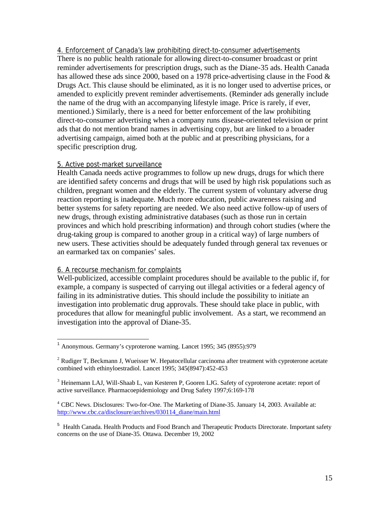4. Enforcement of Canada's law prohibiting direct-to-consumer advertisements There is no public health rationale for allowing direct-to-consumer broadcast or print reminder advertisements for prescription drugs, such as the Diane-35 ads. Health Canada has allowed these ads since 2000, based on a 1978 price-advertising clause in the Food & Drugs Act. This clause should be eliminated, as it is no longer used to advertise prices, or amended to explicitly prevent reminder advertisements. (Reminder ads generally include the name of the drug with an accompanying lifestyle image. Price is rarely, if ever, mentioned.) Similarly, there is a need for better enforcement of the law prohibiting direct-to-consumer advertising when a company runs disease-oriented television or print ads that do not mention brand names in advertising copy, but are linked to a broader advertising campaign, aimed both at the public and at prescribing physicians, for a specific prescription drug.

#### 5. Active post-market surveillance

Health Canada needs active programmes to follow up new drugs, drugs for which there are identified safety concerns and drugs that will be used by high risk populations such as children, pregnant women and the elderly. The current system of voluntary adverse drug reaction reporting is inadequate. Much more education, public awareness raising and better systems for safety reporting are needed. We also need active follow-up of users of new drugs, through existing administrative databases (such as those run in certain provinces and which hold prescribing information) and through cohort studies (where the drug-taking group is compared to another group in a critical way) of large numbers of new users. These activities should be adequately funded through general tax revenues or an earmarked tax on companies' sales.

#### 6. A recourse mechanism for complaints

-

Well-publicized, accessible complaint procedures should be available to the public if, for example, a company is suspected of carrying out illegal activities or a federal agency of failing in its administrative duties. This should include the possibility to initiate an investigation into problematic drug approvals. These should take place in public, with procedures that allow for meaningful public involvement. As a start, we recommend an investigation into the approval of Diane-35.

<sup>1</sup> Anonymous. Germany's cyproterone warning. Lancet 1995; 345 (8955):979

 $2$  Rudiger T, Beckmann J, Wueisser W. Hepatocellular carcinoma after treatment with cyproterone acetate combined with ethinyloestradiol. Lancet 1995; 345(8947):452-453

<sup>&</sup>lt;sup>3</sup> Heinemann LAJ, Will-Shaab L, van Kesteren P, Gooren LJG. Safety of cyproterone acetate: report of active surveillance. Pharmacoepidemiology and Drug Safety 1997;6:169-178

<sup>4</sup> CBC News. Disclosures: Two-for-One. The Marketing of Diane-35. January 14, 2003. Available at: http://www.cbc.ca/disclosure/archives/030114\_diane/main.html

<sup>&</sup>lt;sup>5</sup> Health Canada. Health Products and Food Branch and Therapeutic Products Directorate. Important safety concerns on the use of Diane-35. Ottawa. December 19, 2002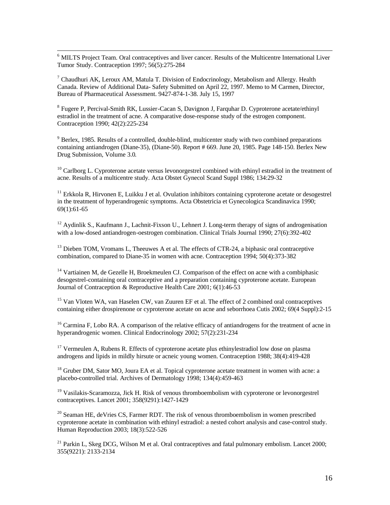<sup>6</sup> MILTS Project Team. Oral contraceptives and liver cancer. Results of the Multicentre International Liver Tumor Study. Contraception 1997; 56(5):275-284

<sup>7</sup> Chaudhuri AK, Leroux AM, Matula T. Division of Endocrinology, Metabolism and Allergy. Health Canada. Review of Additional Data- Safety Submitted on April 22, 1997. Memo to M Carmen, Director, Bureau of Pharmaceutical Assessment. 9427-874-1-38. July 15, 1997

<sup>8</sup> Fugere P, Percival-Smith RK, Lussier-Cacan S, Davignon J, Farquhar D. Cyproterone acetate/ethinyl estradiol in the treatment of acne. A comparative dose-response study of the estrogen component. Contraception 1990; 42(2):225-234

<sup>9</sup> Berlex, 1985. Results of a controlled, double-blind, multicenter study with two combined preparations containing antiandrogen (Diane-35), (Diane-50). Report # 669. June 20, 1985. Page 148-150. Berlex New Drug Submission, Volume 3.0.

<sup>10</sup> Carlborg L. Cyproterone acetate versus levonorgestrel combined with ethinyl estradiol in the treatment of acne. Results of a multicentre study. Acta Obstet Gynecol Scand Suppl 1986; 134:29-32

<sup>11</sup> Erkkola R, Hirvonen E, Luikku J et al. Ovulation inhibitors containing cyproterone acetate or desogestrel in the treatment of hyperandrogenic symptoms. Acta Obstetricia et Gynecologica Scandinavica 1990; 69(1):61-65

 $12$  Aydinlik S., Kaufmann J., Lachnit-Fixson U., Lehnert J. Long-term therapy of signs of androgenisation with a low-dosed antiandrogen-oestrogen combination. Clinical Trials Journal 1990; 27(6):392-402

 $<sup>13</sup>$  Dieben TOM, Vromans L, Theeuwes A et al. The effects of CTR-24, a biphasic oral contraceptive</sup> combination, compared to Diane-35 in women with acne. Contraception 1994; 50(4):373-382

<sup>14</sup> Vartiainen M, de Gezelle H, Broekmeulen CJ. Comparison of the effect on acne with a combiphasic desogestrel-containing oral contraceptive and a preparation containing cyproterone acetate. European Journal of Contraception & Reproductive Health Care 2001; 6(1):46-53

<sup>15</sup> Van Vloten WA, van Haselen CW, van Zuuren EF et al. The effect of 2 combined oral contraceptives containing either drospirenone or cyproterone acetate on acne and seborrhoea Cutis 2002; 69(4 Suppl):2-15

<sup>16</sup> Carmina F, Lobo RA. A comparison of the relative efficacy of antiandrogens for the treatment of acne in hyperandrogenic women. Clinical Endocrinology 2002; 57(2):231-234

 $17$  Vermeulen A, Rubens R. Effects of cyproterone acetate plus ethinylestradiol low dose on plasma androgens and lipids in mildly hirsute or acneic young women. Contraception 1988; 38(4):419-428

<sup>18</sup> Gruber DM, Sator MO, Joura EA et al. Topical cyproterone acetate treatment in women with acne: a placebo-controlled trial. Archives of Dermatology 1998; 134(4):459-463

<sup>19</sup> Vasilakis-Scaramozza, Jick H. Risk of venous thromboembolism with cyproterone or levonorgestrel contraceptives. Lancet 2001; 358(9291):1427-1429

 $20$  Seaman HE, deVries CS, Farmer RDT. The risk of venous thromboembolism in women prescribed cyproterone acetate in combination with ethinyl estradiol: a nested cohort analysis and case-control study. Human Reproduction 2003; 18(3):522-526

<sup>21</sup> Parkin L, Skeg DCG, Wilson M et al. Oral contraceptives and fatal pulmonary embolism. Lancet 2000; 355(9221): 2133-2134